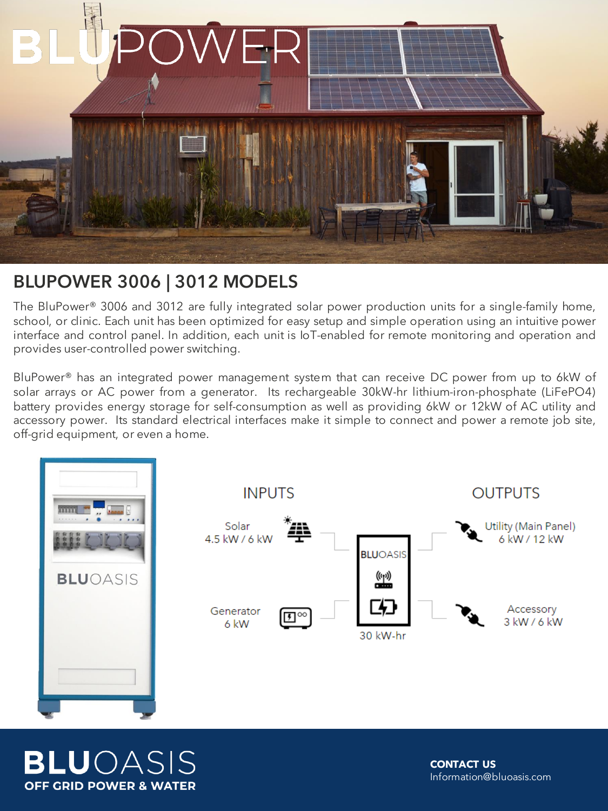

## BLUPOWER 3006 | 3012 MODELS

The BluPower® 3006 and 3012 are fully integrated solar power production units for a single-family home, school, or clinic. Each unit has been optimized for easy setup and simple operation using an intuitive power interface and control panel. In addition, each unit is IoT-enabled for remote monitoring and operation and provides user-controlled power switching.

BluPower® has an integrated power management system that can receive DC power from up to 6kW of solar arrays or AC power from a generator. Its rechargeable 30kW-hr lithium-iron-phosphate (LiFePO4) battery provides energy storage for self-consumption as well as providing 6kW or 12kW of AC utility and accessory power. Its standard electrical interfaces make it simple to connect and power a remote job site, off-grid equipment, or even a home.



**BLU**OASIS **OFF GRID POWER & WATER** 

**CONTACT US**  Information@bluoasis.com